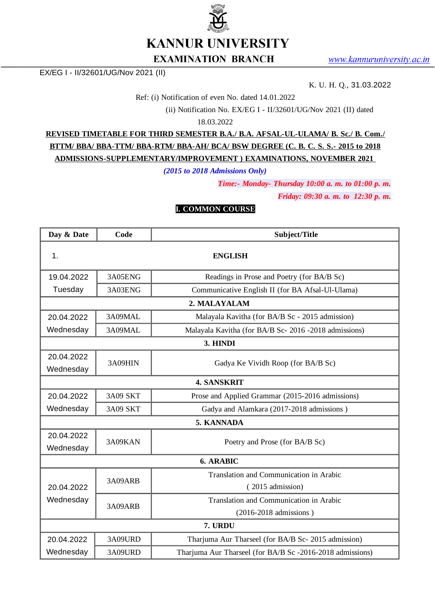

**KANNUR UNIVERSITY** 

#### **EXAMINATION BRANCH**

EX/EG I - II/32601/UG/Nov 2021 (II)

K. U. H. Q., 31.03.2022

Ref: (i) Notification of even No. dated 14.01.2022

(ii) Notification No. EX/EG I - II/32601/UG/Nov 2021 (II) dated

18.03.2022

**REVISED TIMETABLE FOR THIRD SEMESTER B.A./ B.A. AFSAL-UL-ULAMA/ B. Sc./ B. Com./ BTTM/ BBA/ BBA-TTM/ BBA-RTM/ BBA-AH/ BCA/ BSW DEGREE (C. B. C. S. S.- 2015 to 2018 ADMISSIONS-SUPPLEMENTARY/IMPROVEMENT ) EXAMINATIONS, NOVEMBER 2021**

*(2015 to 2018 Admissions Only)*

*Time:- Monday- Thursday 10:00 a. m. to 01:00 p. m.*

*Friday: 09:30 a. m. to 12:30 p. m.*

#### **I. COMMON COURSE**

| Day & Date              | Code            | Subject/Title                                             |  |  |
|-------------------------|-----------------|-----------------------------------------------------------|--|--|
| 1.                      | <b>ENGLISH</b>  |                                                           |  |  |
| 19.04.2022              | 3A05ENG         | Readings in Prose and Poetry (for BA/B Sc)                |  |  |
| Tuesday                 | 3A03ENG         | Communicative English II (for BA Afsal-Ul-Ulama)          |  |  |
|                         |                 | 2. MALAYALAM                                              |  |  |
| 20.04.2022              | 3A09MAL         | Malayala Kavitha (for BA/B Sc - 2015 admission)           |  |  |
| Wednesday               | 3A09MAL         | Malayala Kavitha (for BA/B Sc-2016 -2018 admissions)      |  |  |
|                         |                 | 3. HINDI                                                  |  |  |
| 20.04.2022<br>Wednesday | 3A09HIN         | Gadya Ke Vividh Roop (for BA/B Sc)                        |  |  |
|                         |                 | <b>4. SANSKRIT</b>                                        |  |  |
| 20.04.2022              | <b>3A09 SKT</b> | Prose and Applied Grammar (2015-2016 admissions)          |  |  |
| Wednesday               | 3A09 SKT        | Gadya and Alamkara (2017-2018 admissions)                 |  |  |
|                         |                 | <b>5. KANNADA</b>                                         |  |  |
| 20.04.2022<br>Wednesday | 3A09KAN         | Poetry and Prose (for BA/B Sc)                            |  |  |
| <b>6. ARABIC</b>        |                 |                                                           |  |  |
|                         | 3A09ARB         | Translation and Communication in Arabic                   |  |  |
| 20.04.2022              |                 | (2015 admission)                                          |  |  |
| Wednesday               | 3A09ARB         | Translation and Communication in Arabic                   |  |  |
|                         |                 | (2016-2018 admissions)                                    |  |  |
| 7. URDU                 |                 |                                                           |  |  |
| 20.04.2022              | 3A09URD         | Tharjuma Aur Tharseel (for BA/B Sc- 2015 admission)       |  |  |
| Wednesday               | 3A09URD         | Tharjuma Aur Tharseel (for BA/B Sc -2016-2018 admissions) |  |  |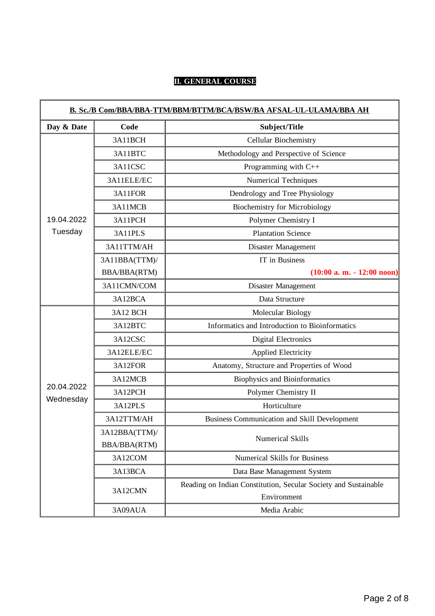## **II. GENERAL COURSE**

| Day & Date<br>Code<br>Subject/Title<br>3A11BCH<br>Cellular Biochemistry    |  |
|----------------------------------------------------------------------------|--|
|                                                                            |  |
|                                                                            |  |
| Methodology and Perspective of Science<br>3A11BTC                          |  |
| Programming with C++<br>3A11CSC                                            |  |
| 3A11ELE/EC<br><b>Numerical Techniques</b>                                  |  |
| 3A11FOR<br>Dendrology and Tree Physiology                                  |  |
| <b>Biochemistry for Microbiology</b><br>3A11MCB                            |  |
| 19.04.2022<br>Polymer Chemistry I<br>3A11PCH                               |  |
| Tuesday<br><b>Plantation Science</b><br>3A11PLS                            |  |
| 3A11TTM/AH<br>Disaster Management                                          |  |
| IT in Business<br>3A11BBA(TTM)/                                            |  |
| BBA/BBA(RTM)<br>$(10:00 a. m. - 12:00 noon)$                               |  |
| 3A11CMN/COM<br>Disaster Management                                         |  |
| 3A12BCA<br>Data Structure                                                  |  |
| Molecular Biology<br>3A12 BCH                                              |  |
| Informatics and Introduction to Bioinformatics<br>3A12BTC                  |  |
| 3A12CSC<br><b>Digital Electronics</b>                                      |  |
| 3A12ELE/EC<br><b>Applied Electricity</b>                                   |  |
| 3A12FOR<br>Anatomy, Structure and Properties of Wood                       |  |
| 3A12MCB<br><b>Biophysics and Bioinformatics</b>                            |  |
| 20.04.2022<br>Polymer Chemistry II<br>3A12PCH                              |  |
| Wednesday<br>Horticulture<br>3A12PLS                                       |  |
| Business Communication and Skill Development<br>3A12TTM/AH                 |  |
| 3A12BBA(TTM)/<br>Numerical Skills                                          |  |
| BBA/BBA(RTM)                                                               |  |
| 3A12COM<br><b>Numerical Skills for Business</b>                            |  |
| 3A13BCA<br>Data Base Management System                                     |  |
| Reading on Indian Constitution, Secular Society and Sustainable<br>3A12CMN |  |
| Environment<br>3A09AUA<br>Media Arabic                                     |  |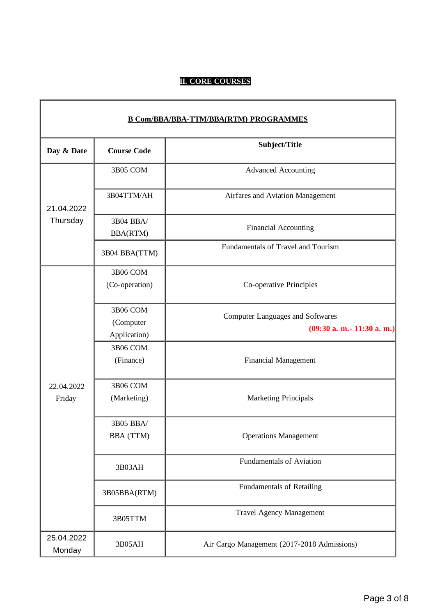# **II. CORE COURSES**

r

| <b>B Com/BBA/BBA-TTM/BBA(RTM) PROGRAMMES</b> |                                       |                                                                         |
|----------------------------------------------|---------------------------------------|-------------------------------------------------------------------------|
| Day & Date                                   | <b>Course Code</b>                    | Subject/Title                                                           |
|                                              | 3B05 COM                              | <b>Advanced Accounting</b>                                              |
| 21.04.2022                                   | 3B04TTM/AH                            | Airfares and Aviation Management                                        |
| Thursday                                     | 3B04 BBA/<br><b>BBA(RTM)</b>          | <b>Financial Accounting</b>                                             |
|                                              | 3B04 BBA(TTM)                         | Fundamentals of Travel and Tourism                                      |
|                                              | 3B06 COM<br>(Co-operation)            | Co-operative Principles                                                 |
|                                              | 3B06 COM<br>(Computer<br>Application) | <b>Computer Languages and Softwares</b><br>$(09:30 a. m.- 11:30 a. m.)$ |
|                                              | <b>3B06 COM</b><br>(Finance)          | <b>Financial Management</b>                                             |
| 22.04.2022<br>Friday                         | 3B06 COM<br>(Marketing)               | <b>Marketing Principals</b>                                             |
|                                              | 3B05 BBA/<br>BBA (TTM)                | <b>Operations Management</b>                                            |
|                                              | 3B03AH                                | <b>Fundamentals of Aviation</b>                                         |
|                                              | 3B05BBA(RTM)                          | <b>Fundamentals of Retailing</b>                                        |
|                                              | 3B05TTM                               | <b>Travel Agency Management</b>                                         |
| 25.04.2022<br>Monday                         | 3B05AH                                | Air Cargo Management (2017-2018 Admissions)                             |

٦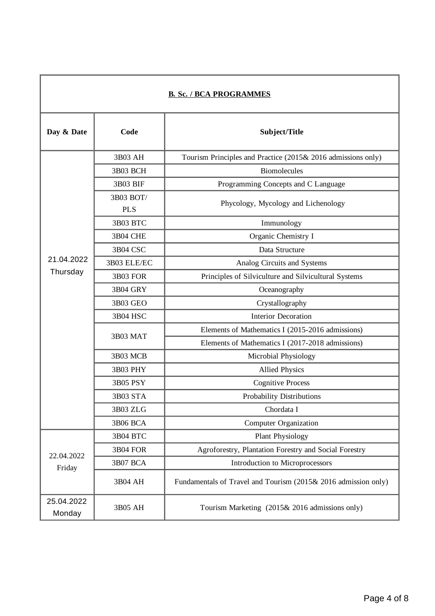| <b>B. Sc. / BCA PROGRAMMES</b> |                         |                                                                |
|--------------------------------|-------------------------|----------------------------------------------------------------|
| Day & Date                     | Code                    | Subject/Title                                                  |
|                                | 3B03 AH                 | Tourism Principles and Practice (2015& 2016 admissions only)   |
|                                | 3B03 BCH                | <b>Biomolecules</b>                                            |
|                                | 3B03 BIF                | Programming Concepts and C Language                            |
|                                | 3B03 BOT/<br><b>PLS</b> | Phycology, Mycology and Lichenology                            |
|                                | 3B03 BTC                | Immunology                                                     |
|                                | 3B04 CHE                | Organic Chemistry I                                            |
|                                | 3B04 CSC                | Data Structure                                                 |
| 21.04.2022                     | 3B03 ELE/EC             | Analog Circuits and Systems                                    |
| Thursday                       | 3B03 FOR                | Principles of Silviculture and Silvicultural Systems           |
|                                | 3B04 GRY                | Oceanography                                                   |
|                                | 3B03 GEO                | Crystallography                                                |
|                                | 3B04 HSC                | <b>Interior Decoration</b>                                     |
|                                | 3B03 MAT                | Elements of Mathematics I (2015-2016 admissions)               |
|                                |                         | Elements of Mathematics I (2017-2018 admissions)               |
|                                | 3B03 MCB                | Microbial Physiology                                           |
|                                | <b>3B03 PHY</b>         | <b>Allied Physics</b>                                          |
|                                | <b>3B05 PSY</b>         | <b>Cognitive Process</b>                                       |
|                                | 3B03 STA                | <b>Probability Distributions</b>                               |
|                                | 3B03 ZLG                | Chordata I                                                     |
|                                | <b>3B06 BCA</b>         | <b>Computer Organization</b>                                   |
|                                | 3B04 BTC                | Plant Physiology                                               |
| 22.04.2022<br>Friday           | 3B04 FOR                | Agroforestry, Plantation Forestry and Social Forestry          |
|                                | 3B07 BCA                | Introduction to Microprocessors                                |
|                                | 3B04 AH                 | Fundamentals of Travel and Tourism (2015& 2016 admission only) |
| 25.04.2022<br>Monday           | 3B05 AH                 | Tourism Marketing (2015& 2016 admissions only)                 |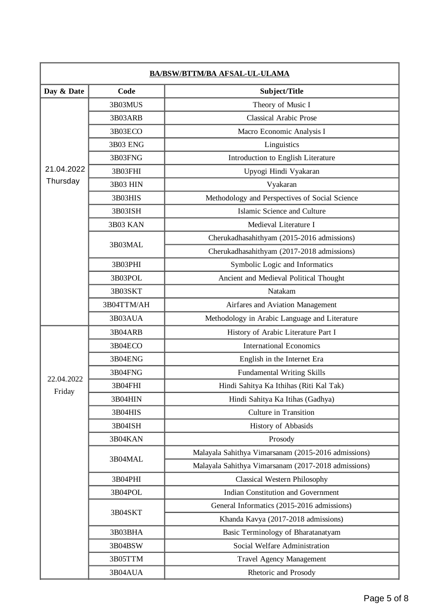| <b>BA/BSW/BTTM/BA AFSAL-UL-ULAMA</b> |                 |                                                     |
|--------------------------------------|-----------------|-----------------------------------------------------|
| Day & Date                           | Code            | Subject/Title                                       |
|                                      | 3B03MUS         | Theory of Music I                                   |
|                                      | 3B03ARB         | <b>Classical Arabic Prose</b>                       |
|                                      | 3B03ECO         | Macro Economic Analysis I                           |
|                                      | <b>3B03 ENG</b> | Linguistics                                         |
|                                      | 3B03FNG         | Introduction to English Literature                  |
| 21.04.2022                           | 3B03FHI         | Upyogi Hindi Vyakaran                               |
| Thursday                             | 3B03 HIN        | Vyakaran                                            |
|                                      | 3B03HIS         | Methodology and Perspectives of Social Science      |
|                                      | 3B03ISH         | Islamic Science and Culture                         |
|                                      | 3B03 KAN        | Medieval Literature I                               |
|                                      | 3B03MAL         | Cherukadhasahithyam (2015-2016 admissions)          |
|                                      |                 | Cherukadhasahithyam (2017-2018 admissions)          |
|                                      | 3B03PHI         | Symbolic Logic and Informatics                      |
|                                      | 3B03POL         | Ancient and Medieval Political Thought              |
|                                      | 3B03SKT         | Natakam                                             |
|                                      | 3B04TTM/AH      | Airfares and Aviation Management                    |
|                                      | 3B03AUA         | Methodology in Arabic Language and Literature       |
|                                      | 3B04ARB         | History of Arabic Literature Part I                 |
|                                      | 3B04ECO         | <b>International Economics</b>                      |
|                                      | 3B04ENG         | English in the Internet Era                         |
| 22.04.2022                           | 3B04FNG         | <b>Fundamental Writing Skills</b>                   |
| Friday                               | 3B04FHI         | Hindi Sahitya Ka Ithihas (Riti Kal Tak)             |
|                                      | 3B04HIN         | Hindi Sahitya Ka Itihas (Gadhya)                    |
|                                      | 3B04HIS         | <b>Culture in Transition</b>                        |
|                                      | 3B04ISH         | History of Abbasids                                 |
|                                      | 3B04KAN         | Prosody                                             |
|                                      | 3B04MAL         | Malayala Sahithya Vimarsanam (2015-2016 admissions) |
|                                      |                 | Malayala Sahithya Vimarsanam (2017-2018 admissions) |
|                                      | 3B04PHI         | Classical Western Philosophy                        |
|                                      | 3B04POL         | <b>Indian Constitution and Government</b>           |
|                                      | 3B04SKT         | General Informatics (2015-2016 admissions)          |
|                                      |                 | Khanda Kavya (2017-2018 admissions)                 |
|                                      | 3B03BHA         | Basic Terminology of Bharatanatyam                  |
|                                      | 3B04BSW         | Social Welfare Administration                       |
|                                      | 3B05TTM         | <b>Travel Agency Management</b>                     |
|                                      | 3B04AUA         | Rhetoric and Prosody                                |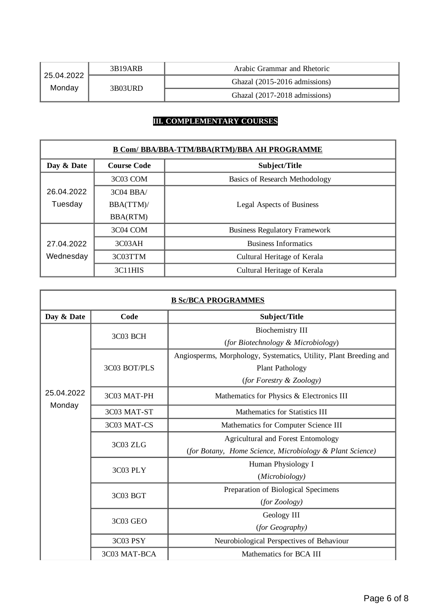| 25.04.2022<br>Monday | 3B19ARB  | Arabic Grammar and Rhetoric   |
|----------------------|----------|-------------------------------|
|                      | 3B03URD. | Ghazal (2015-2016 admissions) |
|                      |          | Ghazal (2017-2018 admissions) |

## **III. COMPLEMENTARY COURSES**

| <b>B Com/ BBA/BBA-TTM/BBA(RTM)/BBA AH PROGRAMME</b> |                    |                                       |  |
|-----------------------------------------------------|--------------------|---------------------------------------|--|
| Day & Date                                          | <b>Course Code</b> | Subject/Title                         |  |
|                                                     | 3C03 COM           | <b>Basics of Research Methodology</b> |  |
| 26.04.2022                                          | $3C04$ BBA/        |                                       |  |
| Tuesday                                             | BBA(TTM)/          | <b>Legal Aspects of Business</b>      |  |
|                                                     | <b>BBA(RTM)</b>    |                                       |  |
|                                                     | 3C04 COM           | <b>Business Regulatory Framework</b>  |  |
| 27.04.2022                                          | 3C <sub>03AH</sub> | <b>Business Informatics</b>           |  |
| Wednesday                                           | 3C03TTM            | Cultural Heritage of Kerala           |  |
|                                                     | 3C11HIS            | Cultural Heritage of Kerala           |  |

| <b>B SC/BCA PROGRAMMES</b> |              |                                                                   |  |
|----------------------------|--------------|-------------------------------------------------------------------|--|
| Day & Date                 | Code         | Subject/Title                                                     |  |
|                            | 3C03 BCH     | <b>Biochemistry III</b>                                           |  |
|                            |              | (for Biotechnology & Microbiology)                                |  |
|                            |              | Angiosperms, Morphology, Systematics, Utility, Plant Breeding and |  |
|                            | 3C03 BOT/PLS | Plant Pathology                                                   |  |
|                            |              | (for Forestry & Zoology)                                          |  |
| 25.04.2022                 | 3C03 MAT-PH  | Mathematics for Physics & Electronics III                         |  |
| Monday                     | 3C03 MAT-ST  | Mathematics for Statistics III                                    |  |
|                            | 3C03 MAT-CS  | Mathematics for Computer Science III                              |  |
|                            | 3C03 ZLG     | <b>Agricultural and Forest Entomology</b>                         |  |
|                            |              | (for Botany, Home Science, Microbiology & Plant Science)          |  |
|                            | 3C03 PLY     | Human Physiology I                                                |  |
|                            |              | (Microbiology)                                                    |  |
|                            | 3C03 BGT     | Preparation of Biological Specimens                               |  |
|                            |              | (for Zoology)                                                     |  |
|                            | 3C03 GEO     | Geology III                                                       |  |
|                            |              | (for Geography)                                                   |  |
|                            | 3C03 PSY     | Neurobiological Perspectives of Behaviour                         |  |
|                            | 3C03 MAT-BCA | Mathematics for BCA III                                           |  |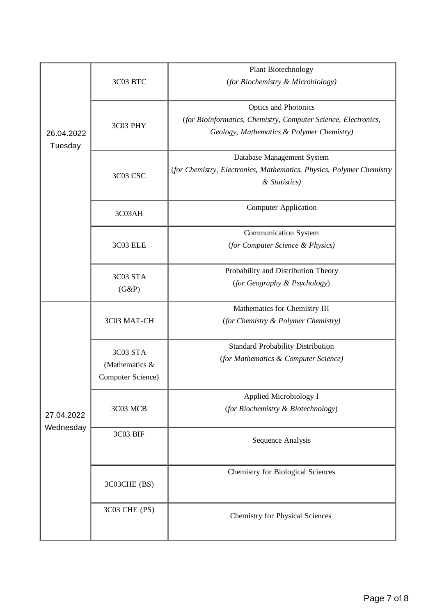|                       |                   | Plant Biotechnology                                                  |
|-----------------------|-------------------|----------------------------------------------------------------------|
|                       | 3C03 BTC          | (for Biochemistry & Microbiology)                                    |
|                       |                   | Optics and Photonics                                                 |
|                       | 3C03 PHY          | (for Bioinformatics, Chemistry, Computer Science, Electronics,       |
| 26.04.2022<br>Tuesday |                   | Geology, Mathematics & Polymer Chemistry)                            |
|                       |                   | Database Management System                                           |
|                       | <b>3C03 CSC</b>   | (for Chemistry, Electronics, Mathematics, Physics, Polymer Chemistry |
|                       |                   | & Statistics)                                                        |
|                       | 3C03AH            | <b>Computer Application</b>                                          |
|                       |                   |                                                                      |
|                       |                   | <b>Communication System</b>                                          |
|                       | 3C03 ELE          | (for Computer Science & Physics)                                     |
|                       | 3C03 STA          | Probability and Distribution Theory                                  |
|                       | (G&P)             | (for Geography & Psychology)                                         |
|                       |                   | Mathematics for Chemistry III                                        |
|                       | 3C03 MAT-CH       | (for Chemistry & Polymer Chemistry)                                  |
|                       |                   |                                                                      |
|                       | 3C03 STA          | <b>Standard Probability Distribution</b>                             |
|                       | (Mathematics &    | (for Mathematics & Computer Science)                                 |
|                       | Computer Science) |                                                                      |
|                       |                   | Applied Microbiology I                                               |
| 27.04.2022            | 3C03 MCB          | (for Biochemistry & Biotechnology)                                   |
| Wednesday             |                   |                                                                      |
|                       | 3C03 BIF          | <b>Sequence Analysis</b>                                             |
|                       |                   |                                                                      |
|                       |                   | <b>Chemistry for Biological Sciences</b>                             |
|                       | 3C03CHE (BS)      |                                                                      |
|                       | 3C03 CHE (PS)     |                                                                      |
|                       |                   | Chemistry for Physical Sciences                                      |
|                       |                   |                                                                      |